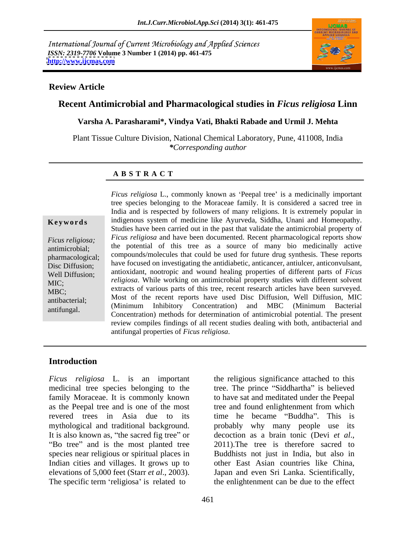International Journal of Current Microbiology and Applied Sciences *ISSN: 2319-7706* **Volume 3 Number 1 (2014) pp. 461-475 <http://www.ijcmas.com>**



#### **Review Article**

### **Recent Antimicrobial and Pharmacological studies in** *Ficus religiosa* **Linn**

**Varsha A. Parasharami\*, Vindya Vati, Bhakti Rabade and Urmil J. Mehta**

Plant Tissue Culture Division, National Chemical Laboratory, Pune, 411008, India *\*Corresponding author* 

### **A B S T R A C T**

**Keywords** indigenous system of medicine like Ayurveda, Siddha, Unani and Homeopathy. *Ficus religiosa; Ficus religiosa* and have been documented. Recent pharmacological reports show antimicrobial; the potential of this tree as a source of many bio medicinally active pharmacological; compounds/molecules that could be used for future drug synthesis. These reports printed to example the method on investigating the antidiabetic, anticancer, anticler, anticonvulsant, Well Diffusion; antioxidant, nootropic and wound healing properties of different parts of *Ficus*  MIC; *religiosa*. While working on antimicrobial property studies with different solvent MBC;<br>
MBC;<br>
MBC, antibacterial; Most of the recent reports have used Disc Diffusion, Well Diffusion, MIC Ficus religiosa L., commonly known as 'Peepal tree' is a medicinally important<br>tree pecices belonging to the Moraccea family. It is considered a sacred tree in<br>India and is respected by followers of many religions. It is e tree species belonging to the Moraceae family. It is considered a sacred tree in India and is respected by followers of many religions. It is extremely popular in Studies have been carried out in the past that validate the antimicrobial property of (Minimum Inhibitory Concentration) and MBC (Minimum Bacterial Concentration) methods for determination of antimicrobial potential. The present review compiles findings of all recent studies dealing with both, antibacterial and antifungal properties of *Ficus religiosa*.

### **Introduction**

*Ficus religiosa* L. is an important the religious significance attached to this medicinal tree species belonging to the tree. The prince "Siddhartha" is believed family Moraceae. It is commonly known to have sat and meditated under the Peepal as the Peepal tree and is one of the most tree and found enlightenment from which revered trees in Asia due to its time he became "Buddha". This is mythological and traditional background. <br>
probably why many people use its It is also known as, "the sacred fig tree" or decoction as a brain tonic (Devi et al., "Bo tree" and is the most planted tree 2011). The tree is therefore sacred to species near religious or spiritual places in Indian cities and villages. It grows up to elevations of 5,000 feet (Starr *et al*., 2003). Japan and even Sri Lanka. Scientifically,

The specific term 'religiosa' is related to the enlightenment can be due to the effect decoction as <sup>a</sup> brain tonic (Devi *et al*., 2011).The tree is therefore sacred to Buddhists not just in India, but also in other East Asian countries like China,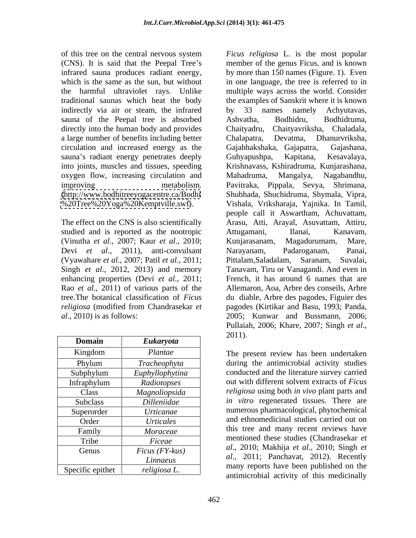of this tree on the central nervous system *Ficus religiosa* L. is the most popular (CNS). It is said that the Peepal Tree's infrared sauna produces radiant energy, indirectly via air or steam, the infrared by 33 names namely Achyutavas, sauna of the Peepal tree is absorbed Ashvatha, Bodhidru, Bodhidruma, directly into the human body and provides Chaityadru, a large number of benefits including better Chalapatra, Devatma, Dhanurvriksha, circulation and increased energy as the sauna's radiant energy penetrates deeply Guhyapushpa, Kapitana, Kesavalaya, oxygen flow, increasing circulation and Mahadruma, Mangalya, Nagabandhu,

studied and is reported as the nootropic Attugamani, Ilanai, Kanavam, (Vinutha *et al*., 2007; Kaur *et al*., 2010; Devi *et al*., 2011), anti-convulsant (Vyawahare *et al*., 2007; Patil *et al*., 2011; enhancing properties (Devi *et al*., 2011; Rao *et al*., 2011) of various parts of the

| <b>Domain</b>    | <b>Eukaryota</b>         | ZUI I.                                                                                                                                                                                                                                                                                                                                                                                                                                                                                                  |
|------------------|--------------------------|---------------------------------------------------------------------------------------------------------------------------------------------------------------------------------------------------------------------------------------------------------------------------------------------------------------------------------------------------------------------------------------------------------------------------------------------------------------------------------------------------------|
| Kingdom          | Plantae                  | The present review has been undertaken                                                                                                                                                                                                                                                                                                                                                                                                                                                                  |
| Phylum           | Tracheophyta             | during the antimicrobial activity studies                                                                                                                                                                                                                                                                                                                                                                                                                                                               |
| Subphylum        | Euphyllophytina          | conducted and the literature survey carried                                                                                                                                                                                                                                                                                                                                                                                                                                                             |
| Infraphylum      | Radiotopses              | out with different solvent extracts of <i>Ficus</i>                                                                                                                                                                                                                                                                                                                                                                                                                                                     |
| Class            | Magnoliopsida            | <i>religiosa</i> using both <i>in vivo</i> plant parts and                                                                                                                                                                                                                                                                                                                                                                                                                                              |
| Subclass         | Dilleniidae              | <i>in vitro</i> regenerated tissues. There are                                                                                                                                                                                                                                                                                                                                                                                                                                                          |
| Superorder       | <i>Urticanae</i>         | numerous pharmacological, phytochemical                                                                                                                                                                                                                                                                                                                                                                                                                                                                 |
| Order            | Urticales                | and ethnomedicinal studies carried out on                                                                                                                                                                                                                                                                                                                                                                                                                                                               |
| Family           | Moraceae                 | this tree and many recent reviews have                                                                                                                                                                                                                                                                                                                                                                                                                                                                  |
| Tribe            | Ficeae                   | mentioned these studies (Chandrasekar et                                                                                                                                                                                                                                                                                                                                                                                                                                                                |
| Genus            | $Ficus$ ( $FY$ - $kus$ ) | al., 2010; Makhija et al., 2010; Singh et                                                                                                                                                                                                                                                                                                                                                                                                                                                               |
|                  | Linnaeus                 | <i>al.</i> , 2011; Panchavat, 2012). Recently                                                                                                                                                                                                                                                                                                                                                                                                                                                           |
| Specific epithet | religiosa L.             | many reports have been published on the<br>$\mathcal{L} = \mathcal{L} = \mathcal{L} = \mathcal{L} = \mathcal{L} = \mathcal{L} = \mathcal{L} = \mathcal{L} = \mathcal{L} = \mathcal{L} = \mathcal{L} = \mathcal{L} = \mathcal{L} = \mathcal{L} = \mathcal{L} = \mathcal{L} = \mathcal{L} = \mathcal{L} = \mathcal{L} = \mathcal{L} = \mathcal{L} = \mathcal{L} = \mathcal{L} = \mathcal{L} = \mathcal{L} = \mathcal{L} = \mathcal{L} = \mathcal{L} = \mathcal{L} = \mathcal{L} = \mathcal{L} = \mathcal$ |

which is the same as the sun, but without in one language, the tree is referred to in the harmful ultraviolet rays. Unlike multiple ways across the world. Consider traditional saunas which heat the body the examples of Sanskrit where it is known into joints, muscles and tissues, speeding Krishnavass, Kshiradruma, Kunjarashana, improving metabolism. Pavitraka, Pippala, Sevya, Shrimana, [\(http://www.bodhitreeyogacentre.ca/Bodhi](http://www.bodhitreeyogacentre.ca/Bodhi) Shubhada, Shuchidruma, Shymala, Vipra, [%20Tree%20Yoga%20Kemptville.swf\)](%20Tree%20Yoga%20Kemptville.swf). Vishala, Vriksharaja, Yajnika. In Tamil, The effect on the CNS is also scientifically Arasu, Atti, Arayal, Asuvattam, Attiru, Singh *et al*., 2012, 2013) and memory Tanavam, Tiru or Vanagandi. And even in tree.The botanical classification of *Ficus*  du diable, Arbre des pagodes, Figuier des *religiosa* (modified from Chandrasekar *et*  pagodes (Kirtikar and Basu, 1993; Panda, *al*., 2010) is as follows: 2005; Kunwar and Bussmann, 2006; member of the genus Ficus, and is known by more than 150 names (Figure. 1). Even by 33 names namely Achyutavas, Ashvatha, Bodhidru, Bodhidruma, Chaityavriksha, Chaladala, Chalapatra, Devatma, Dhanurvriksha, Gajabhakshaka, Gajapatra, Guhyapushpa, Kapitana, Kesavalaya, Mahadruma, Mangalya, Nagabandhu, people call it Aswartham, Achuvattam, Attugamani, Ilanai, Kanavam, Kunjarasanam, Magadurumam, Mare, Narayanam, Padaroganam, Panai, Pittalam, Saladalam, French, it has around 6 names that are Allemaron, Aoa, Arbre des conseils, Arbre Pullaiah, 2006; Khare, 2007; Singh *et al*., 2011).

speaked prince  $\left\{\right. \right.$  antimicrobial activity of this medicinally The present review has been undertaken Kingdom *Plantae* Phylum *Tracheophyta* during the antimicrobial activity studies conducted and the literature survey carried out with different solvent extracts of *Ficus religiosa* using both *in vivo* plant parts and Class *Magnoliopsida in vitro* regenerated tissues. There are Subclass *Dilleniidae* numerous pharmacological, phytochemical Superorder *Urticanae* and ethnomedicinal studies carried out on Order *Urticales* this tree and many recent reviews have mentioned these studies (Chandrasekar *et al*., 2010; Makhija *et al*., 2010; Singh *et*  Genus *Ficus (FY-kus) al*., 2011; Panchavat, 2012). Recently many reports have been published on the Subphylum *Euphyllophytina* conducted and the literature survey carried Infraphylum *Radiotopses* **Queen** out with different solvent extracts of *Ficus* Family *Moraceae* **now** this tree and many recent reviews have Tribe *Ficeae* **Figure 1** mentioned these studies (Chandrasekar *et Linnaeus* Specific epithet *religiosa L*.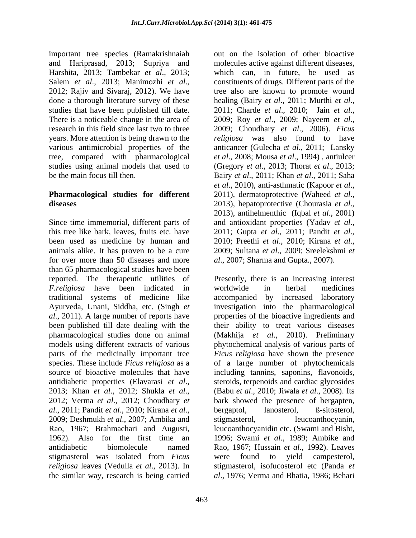important tree species (Ramakrishnaiah Harshita, 2013; Tambekar *et al*., 2013; done a thorough literature survey of these healing (Bairy et al., 2011; Murthi et al., studies that have been published till date. 2011; Charde et al., 2010; Jain et al., There is a noticeable change in the area of 2009; Roy et al., 2009; Nayeem et al., research in this field since last two to three 2009; Choudhary et al., 2006). Ficus

## **Pharmacological studies for different** 2011), dermatoprotective (Waheed *et al.*, diseases and also approximately approximately 2013), hepatoprotective (Chourasia *et al.*,

Since time immemorial, different parts of and antioxidant properties (Yadav et al., this tree like bark, leaves, fruits etc. have 2011; Gupta et al., 2011; Pandit et al., been used as medicine by human and 2010; Preethi et al., 2010; Kirana et al., animals alike. It has proven to be a cure 2009; Sultana et al., 2009; Sreelekshmi et for over more than 50 diseases and more *al*., 2007; Sharma and Gupta., 2007). than 65 pharmacological studies have been reported. The therapeutic utilities of *F.religiosa* have been indicated in worldwide in herbal medicines traditional systems of medicine like accompanied by increased laboratory Ayurveda, Unani, Siddha, etc. (Singh *et*  investigation into the pharmacological *al*., 2011). A large number of reports have properties of the bioactive ingredients and been published till date dealing with the their ability to treat various diseases pharmacological studies done on animal (Makhija *et al*., 2010). Preliminary models using different extracts of various phytochemical analysis of various parts of parts of the medicinally important tree *Ficus religiosa* have shown the presence species. These include *Ficus religiosa* as a ofa large number of phytochemicals source of bioactive molecules that have including tannins, saponins, flavonoids, antidiabetic properties (Elavarasi *et al.*, steroids, terpenoids and cardiac glycosides 2013; Khan *et al.*, 2012; Shukla *et al.*, 2010; Jiwala *et al.*, 2008). Its 2012; Verma *et al.*, 2012; Choudhary *et* bark showed *al*., 2011; Pandit *et al*., 2010; Kirana *et al*., 2009; Deshmukh *et al*., 2007; Ambika and Rao, 1967; Brahmachari and Augusti, leucoanthocyanidin etc. (Swami and Bisht, 1962). Also for the first time an 1996; Swami *et al*., 1989; Ambike and antidiabetic biomolecule named Rao, 1967; Hussain *et al*., 1992). Leaves stigmasterol was isolated from *Ficus religiosa* leaves (Vedulla *et al*., 2013). In the similar way, research is being carried *al*., 1976; Verma and Bhatia, 1986; Behari

and Hariprasad, 2013; Supriya and molecules active against different diseases, Salem *et al.*, 2013; Manimozhi *et al.*, constituents of drugs. Different parts of the 2012; Rajiv and Sivaraj, 2012). We have tree also are known to promote wound years. More attention is being drawn to the *religiosa* was also found to have various antimicrobial properties of the anticancer (Gulecha *et al*., 2011; Lansky tree, compared with pharmacological *et al*., 2008; Mousa *et al*., 1994) , antiulcer studies using animal models that used to (Gregory *et al*., 2013; Thorat *et al*., 2013; be the main focus till then. Bairy *et al*., 2011; Khan *et al*., 2011; Saha out on the isolation of other bioactive which can, in future, be used as constituents of drugs. Different parts of the tree also are known to promote wound healing (Bairy *et al.*, 2011; Murthi *et al.*,<br>2011; Charde *et al.*, 2010; Jain *et al.*,<br>2009; Roy *et al.*, 2009; Nayeem *et al.*,<br>2009; Choudhary *et al.*, 2006). Ficus *et al.*, 2010), anti-asthmatic (Kapoor *et al.*,<br>2011), dermatoprotective (Waheed *et al.*,<br>2013), hepatoprotective (Chourasia *et al.*,<br>2013), antihelmenthic (Iqbal *et al.*, 2001) and antioxidant properties (Yadav *et al.*,<br>2011; Gupta *et al.*, 2011; Pandit *et al.*,<br>2010; Preethi *et al.*, 2010; Kirana *et al.*,<br>2009; Sultana *et al.*, 2009; Sreelekshmi *et* 

> Presently, there is an increasing interest worldwide in herbal medicines steroids, terpenoids and cardiac glycosides (Babu *et al*., 2010; Jiwala *et al*., 2008). Its bark showed the presence of bergapten, bergaptol, lanosterol, ß-sitosterol, stigmasterol, leucoanthocyanin, were found to yield campesterol, stigmasterol, isofucosterol etc (Panda *et*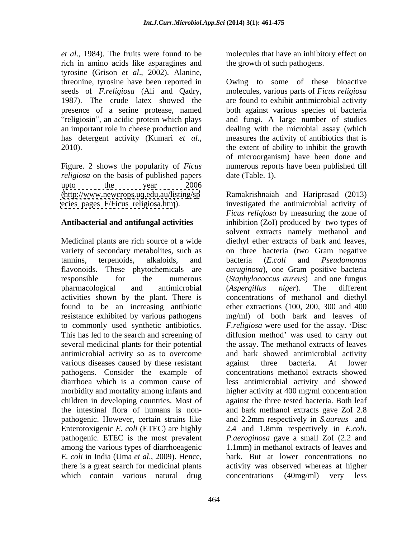*et al*., 1984). The fruits were found to be molecules that have an inhibitory effect on rich in amino acids like asparagines and tyrosine (Grison *et al*., 2002). Alanine,

Figure. 2 shows the popularity of *Ficus religiosa* on the basis of published papers upto the year 2006 [ecies\\_pages\\_F/Ficus\\_religiosa.htm](ecies_pages_F/Ficus_religiosa.htm)).

antimicrobial activity so as to overcome various diseases caused by these resistant against three bacteria. At lower pathogens. Consider the example of pathogenic. However, certain strains like Enterotoxigenic *E. coli* (ETEC) are highly 2.4 and 1.8mm respectively in *E. coli.* pathogenic. ETEC is the most prevalent *P. aeroginosa* gave a small ZoI (2.2 and among the various types of diarrhoeagenic which contain various natural drug concentrations (40mg/ml) very less

the growth of such pathogens.

threonine, tyrosine have been reported in Owing to some of these bioactive seeds of *F.religiosa* (Ali and Qadry, molecules, various parts of *Ficus religiosa* 1987). The crude latex showed the are found to exhibit antimicrobial activity presence of a serine protease, named both against various species of bacteria religiosin", an acidic protein which plays and fungi. A large number of studies an important role in cheese production and dealing with the microbial assay (which has detergent activity (Kumari *et al.*, measures the activity of antibiotics that is the extent of ability to inhibit the growth measures the activity of antibiotics that is the extent of ability to inhibit the growth of microorganism) have been done and numerous reports have been published till date (Table. 1).

[\(http://www.newcrops.uq.edu.au/listing/sp](http://www.newcrops.uq.edu.au/listing/sp) Ramakrishnaiah and Hariprasad (2013) **Antibacterial and antifungal activities** inhibition (ZoI) produced by two types of Medicinal plants are rich source of a wide diethyl ether extractsof bark and leaves, variety of secondary metabolites, such as on three bacteria (two Gram negative tannins, terpenoids, alkaloids, and bacteria (*E.coli* and *Pseudomonas* flavonoids. These phytochemicals are *aeruginosa*), one Gram positive bacteria responsible for the numerous (*Staphylococcus aureus*) and one fungus pharmacological and antimicrobial (Aspergillus niger). The different activities shown by the plant. There is concentrations of methanol and diethyl found to be an increasing antibiotic ether extractions (100, 200, 300 and 400 resistance exhibited by various pathogens mg/ml) of both bark and leaves of to commonly used synthetic antibiotics. *F.religiosa* were used for the assay. 'Disc This has led to the search and screening of diffusion method' was used to carry out several medicinal plants for their potential the assay. The methanol extracts of leaves diarrhoea which is a common cause of less antimicrobial activity and showed morbidity and mortality among infants and higher activity at 400 mg/ml concentration children in developing countries. Most of against the three tested bacteria. Both leaf the intestinal flora of humans is non- and bark methanol extracts gave ZoI 2.8 *E. coli* in India (Uma *et al*., 2009). Hence, bark. But at lower concentrations no there is a great search for medicinal plants activity was observed whereas at higher investigated the antimicrobial activity of *Ficus religiosa* by measuring the zone of solvent extracts namely methanol and bacteria (*E.coli* and *Pseudomonas*  (*Aspergillus niger*). The different and bark showed antimicrobial activity against three bacteria. At lower concentrations methanol extracts showed and 2.2mm respectively in *S.aureus* and 2.4 and 1.8mm respectively in *E.coli. P.aeroginosa* gave <sup>a</sup> small ZoI (2.2 and 1.1mm) in methanol extracts of leaves and concentrations (40mg/ml) very less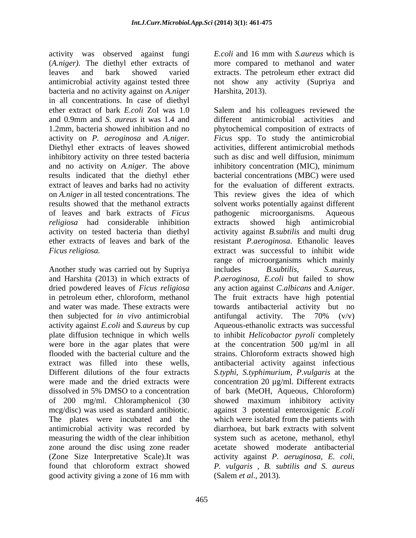activity was observed against fungi E.coli and 16 mm with S. *aureus* which is (*A.niger).* The diethyl ether extracts of leaves and bark showed varied antimicrobial activity against tested three not show any activity (Supriya and bacteria and no activity against on *A.niger*  in all concentrations. In case of diethyl ether extract of bark *E.coli* ZoI was 1.0 activity on *P. aeroginosa* and *A.niger.*  Diethyl ether extracts of leaves showed inhibitory activity on three tested bacteria such as disc and well diffusion, minimum and no activity on *A.niger*. The above extract of leaves and barks had no activity on *A.niger* in all tested concentrations. The of leaves and bark extracts of *Ficus religiosa* had considerable inhibition extracts showed high antimicrobial

Another study was carried out by Supriya includes B. subtilis, S. aureus, and Harshita (2013) in which extracts of dried powdered leaves of *Ficus religiosa* any action against *C. albicans* and *A. niger.* in petroleum ether, chloroform, methanol then subjected for *in vivo* antimicrobial of 200 mg/ml. Chloramphenicol (30 The plates were incubated and the which were isolated from the patients with antimicrobial activity was recorded by measuring the width of the clear inhibition (Zone Size Interpretative Scale).It was activity against P. aeruginosa, E. coli, found that chloroform extract showed *P. vulgaris*, *B. subtilis and S. aureus* 

*E.coli* and 16 mm with *S.aureus* which is more compared to methanol and water extracts. The petroleum ether extract did Harshita, 2013).

and 0.9mm and *S. aureus* it was 1.4 and 1.2mm*,* bacteria showed inhibition and no phytochemical composition of extracts of results indicated that the diethyl ether bacterial concentrations (MBC) were used results showed that the methanol extracts solvent works potentially against different activity on tested bacteria than diethyl activity against *B.subtilis* and multi drug ether extracts of leaves and bark of the resistant *P.aeroginosa*. Ethanolic leaves *Ficus religiosa.* extract was successful to inhibit wide and water was made. These extracts were towards antibacterial activity but no activity against *E.coli* and *S.aureus* by cup Aqueous-ethanolic extracts was successful plate diffusion technique in which wells to inhibit *Helicobactor pyroli* completely were bore in the agar plates that were at the concentration 500 µg/ml in all flooded with the bacterial culture and the strains. Chloroform extracts showed high extract was filled into these wells, antibacterial activity against infectious Different dilutions of the four extracts *S.typhi, S.typhimurium, P.vulgaris* at the were made and the dried extracts were concentration 20 µg/ml. Different extracts dissolved in 5% DMSO to a concentration of bark (MeOH, Aqueous, Chloroform) mcg/disc) was used as standard antibiotic. against 3 potential enteroxigenic *E.coli* zone around the disc using zone reader acetate showed moderate antibacterial good activity giving a zone of 16 mm with (Salem *et al.*, 2013). Salem and his colleagues reviewed the different antimicrobial activities and *Ficus* spp. To study the antimicrobial activities, different antimicrobial methods such as disc and well diffusion, minimum inhibitory concentration (MIC), minimum for the evaluation of different extracts. This review gives the idea of which pathogenic microorganisms. Aqueous extracts showed high antimicrobial range of microorganisms which mainly includes *B.subtilis, S.aureus, P.aeroginosa, E.coli* but failed to show any action against *C.albicans* and *A.niger*. The fruit extracts have high potential antifungal activity. The 70% (v/v) showed maximum inhibitory activity which were isolated from the patients with diarrhoea, but bark extracts with solvent system such as acetone, methanol, ethyl activity against *P. aeruginosa, E. coli, P. vulgaris , B. subtilis and S. aureus* (Salem *et al*., 2013).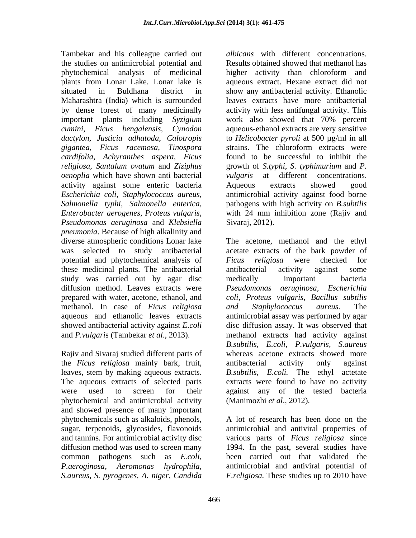Tambekar and his colleague carried out the studies on antimicrobial potential and phytochemical analysis of medicinal plants from Lonar Lake. Lonar lake is aqueous extract. Hexane extract did not situated in Buldhana district in show any antibacterial activity. Ethanolic Maharashtra (India) which is surrounded by dense forest of many medicinally activity with less antifungal activity. This important plants including *Syzigium cumini, Ficus bengalensis, Cynodon* aqueous-ethanol extracts are very sensitive *dactylon, Justicia adhatoda, Calotropis* to *Helicobacter pyroli* at 500 µg/ml in all *gigantea, Ficus racemosa, Tinospora cardifolia, Achyranthes aspera, Ficus religiosa, Santalum ovatum* and *Ziziphus*  growth of *S.typhi*, *S. typhimurium* and *P. oenoplia* which have shown anti bacterial activity against some enteric bacteria *Escherichia coli, Staphylococcus aureus,* antimicrobial activity against food borne *Salmonella typhi, Salmonella enterica,* pathogens with high activity on *B.subtilis Enterobacter aerogenes, Proteus vulgaris,* with 24 mm inhibition zone (Rajiv and *Pseudomonas aeruginosa* and *Klebsiella pneumonia*. Because of high alkalinity and potential and phytochemical analysis of Ficus religiosa were checked for these medicinal plants. The antibacterial study was carried out by agar disc diffusion method. Leaves extracts were *Pseudomonas aeruginosa*, *Escherichia* methanol. In case of *Ficus religiosa*

Rajiv and Sivaraj studied different parts of the *Ficus religiosa* mainly bark, fruit, leaves, stem by making aqueous extracts. phytochemical and antimicrobial activity and showed presence of many important phytochemicals such as alkaloids, phenols, *S.aureus, S. pyrogenes, A. niger, Candida*

*albicans* with different concentrations. Results obtained showed that methanol has higher activity than chloroform and leaves extracts have more antibacterial work also showed that 70% percent strains. The chloroform extracts were found to be successful to inhibit the at different concentrations. Aqueous extracts showed good Sivaraj, 2012).

diverse atmospheric conditions Lonar lake The acetone, methanol and the ethyl was selected to study antibacterial acetate extracts of the bark powder of prepared with water, acetone, ethanol, and *coli, Proteus vulgaris, Bacillus subtilis* aqueous and ethanolic leaves extracts antimicrobial assay was performed by agar showed antibacterial activity against *E.coli* disc diffusion assay. It was observed that and *P.vulgari*s (Tambekar *et al*., 2013). methanol extracts had activity against The aqueous extracts of selected parts extracts were found to have no activity were used to screen for their against any of the tested bacteria *Ficus religiosa* were checked for antibacterial activity against some medically important bacteria *Pseudomonas aeruginosa, and Staphylococcus aureus.* The *B.subtilis, E.coli, P.vulgaris, S.aureus* whereas acetone extracts *s*howed more antibacterial activity only against *B.subtilis, E.coli.* The ethyl actetate (Manimozhi *et al*., 2012).

sugar, terpenoids, glycosides, flavonoids antimicrobial and antiviral properties of and tannins. For antimicrobial activity disc various parts of *Ficus religiosa* since diffusion method was used to screen many 1994. In the past, several studies have common pathogens such as *E.coli,*  been carried out that validated the *P.aeroginosa, Aeromonas hydrophila,* antimicrobial and antiviral potential of A lot of research has been done on the *F.religiosa.* These studies up to 2010 have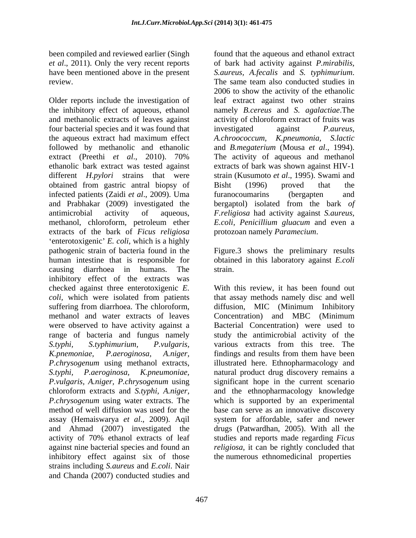been compiled and reviewed earlier (Singh found that the aqueous and ethanol extract have been mentioned above in the present S. *aureus*, A. *fecalis* and S. *typhimurium*. review. The same team also conducted studies in

Older reports include the investigation of leaf extract against two other strains the inhibitory effect of aqueous, ethanol namely *B.cereus* and *S. agalactiae*.The and methanolic extracts of leaves against activity of chloroform extract of fruits was four bacterial species and it was found that investigated against *P. aureus*, the aqueous extract had maximum effect A.chroococcum, K.pneumonia, S.lactic followed by methanolic and ethanolic extract (Preethi *et al*., 2010). 70% ethanolic bark extract was tested against extracts of bark was shown against HIV-1 different *H.pylori* strains that were strain (Kusumoto *et al*., 1995). Swami and obtained from gastric antral biopsy of infected patients (Zaidi *et al*., 2009). Uma and Prabhakar (2009) investigated the bergaptol) isolated from the bark *of*  antimicrobial activity of aqueous, *F.religiosa* had activity against *S.aureus,* methanol, chloroform, petroleum ether extracts of the bark of *Ficus religiosa* 'enterotoxigenic' *E. coli*, which is a highly pathogenic strain of bacteria found in the Figure.3 shows the preliminary results human intestine that is responsible for obtained in this laboratory against *E.coli* causing diarrhoea in humans. The inhibitory effect of the extracts was checked against three enterotoxigenic *E.*  With this review, it has been found out *coli*, which were isolated from patients that assay methods namely disc and well suffering from diarrhoea. The chloroform, diffusion, MIC (Minimum Inhibitory methanol and water extracts of leaves Concentration and MBC (Minimum were observed to have activity against a Bacterial Concentration) were used to range of bacteria and fungus namely *S.typhi, S.typhimurium, P.vulgaris, K.pnemoniae, P.aeroginosa, A.niger, P.chrysogenum* using methanol extracts, illustrated here. Ethnopharmacology and *S.typhi, P.aeroginosa, K.pneumoniae,*  natural product drug discovery remains a *P.vulgaris, A.niger, P.chrysogenum* using chloroform extracts and *S.typhi, A.niger,* and the ethnopharmacology knowledge *P.chrysogenum* using water extracts. The which is supported by an experimental method of well diffusion was used for the base can serve as an innovative discovery assay (Hemaiswarya *et al*., 2009)*.* Aqil and Ahmad (2007) investigated the drugs (Patwardhan, 2005). With all the activity of 70% ethanol extracts of leaf studies and reports made regarding *Ficus*  against nine bacterial species and found an *religiosa*, it can be rightly concluded that inhibitory effect against six of those strains including *S.aureus* and *E.coli*. Nair and Chanda (2007) conducted studies and

*et al*., 2011). Only the very recent reports of bark had activity against *P.mirabilis, S.aureus, A.fecalis* and *S. typhimurium*. The same team also conducted studies in 2006 to show the activity of the ethanolic investigated against *P.aureus, A.chroococcum, K.pneumonia, S.lactic* and *B.megaterium* (Mousa *et al*., 1994). The activity of aqueous and methanol Bisht (1996) proved that the furanocoumarins (bergapten and *E.coli, Penicillium gluacum* and even a protozoan namely *Paramecium*.

strain.

diffusion, MIC (Minimum Inhibitory Concentration) and MBC (Minimum study the antimicrobial activity of the various extracts from this tree. The findings and results from them have been significant hope in the current scenario system for affordable, safer and newer the numerous ethnomedicinal properties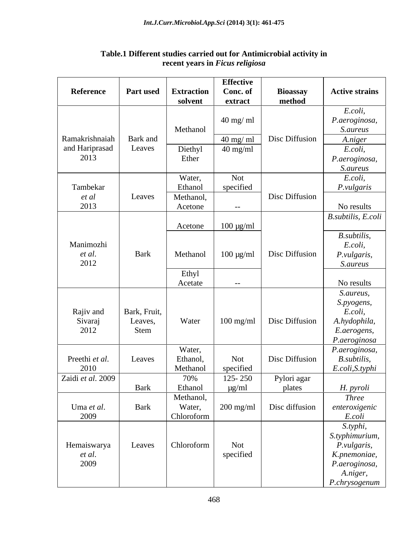|                   |                  |                   | <b>Effective</b>          |                       |                                  |
|-------------------|------------------|-------------------|---------------------------|-----------------------|----------------------------------|
| Reference         | <b>Part used</b> | <b>Extraction</b> | Conc. of                  | <b>Bioassay</b>       | <b>Active strains</b>            |
|                   |                  | solvent           | extract                   | method                |                                  |
|                   |                  |                   |                           |                       | E.coli,                          |
|                   |                  |                   | $40 \text{ mg}/\text{ml}$ |                       | P.aeroginosa,                    |
|                   |                  | Methanol          |                           |                       | <i>S.aureus</i>                  |
| Ramakrishnaiah    | Bark and         |                   | $40 \text{ mg/ml}$        | Disc Diffusion        | A.niger                          |
| and Hariprasad    | Leaves           |                   | $40 \text{ mg/ml}$        |                       | E.coli,                          |
| 2013              |                  | Diethyl<br>Ether  |                           |                       |                                  |
|                   |                  |                   |                           |                       | P.aeroginosa,<br><i>S.aureus</i> |
|                   |                  |                   |                           |                       |                                  |
|                   |                  | Water,            | Not                       |                       | E.coli,                          |
| Tambekar          |                  | Ethanol           | specified                 |                       | P.vulgaris                       |
| et al             | Leaves           | Methanol,         |                           | Disc Diffusion        |                                  |
| 2013              |                  | Acetone           | $\sim$ $ \sim$            |                       | No results                       |
|                   |                  |                   |                           |                       | B.subtilis, E.coli               |
|                   |                  | Acetone           | $100 \mu g/ml$            |                       |                                  |
|                   |                  |                   |                           |                       | B.subtilis,                      |
| Manimozhi         |                  |                   |                           |                       | E.coli,                          |
| et al.            | Bark             | Methanol          | $100 \mu g/ml$            | Disc Diffusion        | P.vulgaris,                      |
| 2012              |                  |                   |                           |                       | <i>S.aureus</i>                  |
|                   |                  | Ethyl             |                           |                       |                                  |
|                   |                  | Acetate           | $  \,$                    |                       | No results                       |
|                   |                  |                   |                           |                       | S.aureus,                        |
|                   |                  |                   |                           |                       | S.pyogens,                       |
| Rajiv and         | Bark, Fruit,     |                   |                           |                       | E.coli,                          |
| Sivaraj           | Leaves,          | Water             | $100$ mg/ml               | Disc Diffusion        | A.hydophila,                     |
| 2012              | Stem             |                   |                           |                       | E.aerogens,                      |
|                   |                  |                   |                           |                       | P.aeroginosa                     |
|                   |                  | Water,            |                           |                       | P.aeroginosa,                    |
| Preethi et al.    | Leaves           | Ethanol,          | Not                       | Disc Diffusion        | B.subtilis,                      |
| 2010              |                  | Methanol          | specified                 |                       | E.coli, S.typhi                  |
| Zaidi et al. 2009 |                  | 70%               | $125 - 250$               |                       |                                  |
|                   | Bark             | Ethanol           | $\mu$ g/ml                | Pylori agar<br>plates |                                  |
|                   |                  |                   |                           |                       | H. pyroli<br><b>Three</b>        |
|                   |                  | Methanol,         |                           |                       |                                  |
| Uma et al.        | Bark             | Water,            | $200$ mg/ml               | Disc diffusion        | enteroxigenic                    |
| 2009              |                  | Chloroform        |                           |                       | E.coli                           |
|                   |                  |                   |                           |                       | S.typhi,                         |
|                   |                  |                   |                           |                       | S.typhimurium,                   |
| Hemaiswarya       | Leaves           | Chloroform        | Not                       |                       | P.vulgaris,                      |
| et al.            |                  |                   | specified                 |                       | K.pnemoniae,                     |
| 2009              |                  |                   |                           |                       | P.aeroginosa,                    |
|                   |                  |                   |                           |                       | A.niger,                         |
|                   |                  |                   |                           |                       | P.chrysogenum                    |

### **Table.1 Different studies carried out for Antimicrobial activity in recent years in** *Ficus religiosa*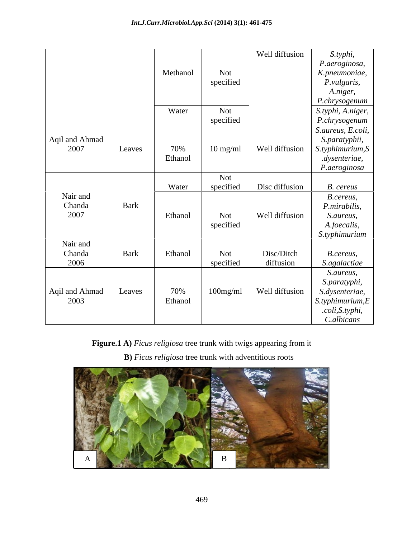|                        |        |          |                    | Well diffusion | S.typhi,                                       |
|------------------------|--------|----------|--------------------|----------------|------------------------------------------------|
|                        |        |          |                    |                | P.aeroginosa,                                  |
|                        |        | Methanol | Not                |                | K.pneumoniae,                                  |
|                        |        |          | specified          |                | P.vulgaris,                                    |
|                        |        |          |                    |                | A.niger,                                       |
|                        |        |          |                    |                | P.chrysogenum                                  |
|                        |        | Water    | Not                |                | S.typhi, A.niger,                              |
|                        |        |          | specified          |                | P.chrysogenum                                  |
|                        |        |          |                    |                | S.aureus, E.coli,                              |
| Aqil and Ahmad         |        |          |                    |                | S.paratyphii,                                  |
| 2007                   | Leaves | 70%      | $10 \text{ mg/ml}$ |                | Well diffusion $\Big $ <i>S.typhimurium, S</i> |
|                        |        | Ethanol  |                    |                | .dysenteriae,                                  |
|                        |        |          |                    |                | P.aeroginosa                                   |
|                        |        |          | Not                |                |                                                |
|                        |        | Water    | specified          | Disc diffusion | <b>B.</b> cereus                               |
| Nair and               | Bark   |          |                    |                | B.cereus,                                      |
| Chanda<br>2007         |        |          |                    |                | P.mirabilis,                                   |
|                        |        | Ethanol  | Not                | Well diffusion | S.aureus,                                      |
|                        |        |          | specified          |                | A.foecalis,                                    |
|                        |        |          |                    |                | S.typhimurium                                  |
| Nair and<br>Chanda     | Bark   | Ethanol  | Not                | Disc/Ditch     |                                                |
| 2006                   |        |          | specified          | diffusion      | B.cereus,                                      |
|                        |        |          |                    |                | S.agalactiae                                   |
|                        |        |          |                    |                | S.aureus,                                      |
|                        |        | 70%      |                    |                | S.paratyphi,                                   |
| Aqil and Ahmad<br>2003 | Leaves | Ethanol  | $100$ mg/ml        | Well diffusion | S.dysenteriae,<br>S. typhimurium, E            |
|                        |        |          |                    |                | .coli, S.typhi,                                |
|                        |        |          |                    |                | C.albicans                                     |
|                        |        |          |                    |                |                                                |

**Figure.1 A)** *Ficus religiosa* tree trunk with twigs appearing from it

 **B)** *Ficus religiosa* tree trunk with adventitious roots

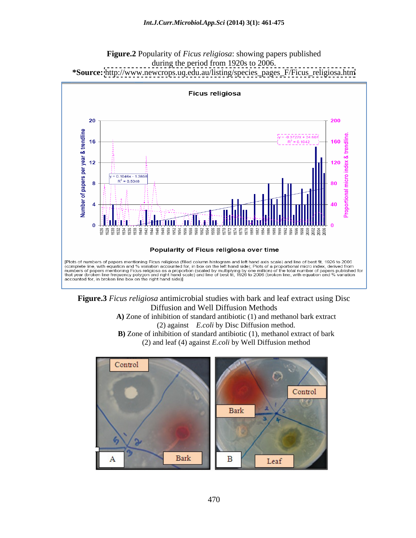



**Figure.3** *Ficus religiosa* antimicrobial studies with bark and leaf extract using Disc Diffusion and Well Diffusion Methods

**A)** Zone of inhibition of standard antibiotic (1) and methanol bark extract (2) against *E.coli* by Disc Diffusion method. **B)** Zone of inhibition of standard antibiotic (1), methanol extract of bark (2) and leaf (4) against *E.coli* by Well Diffusion method

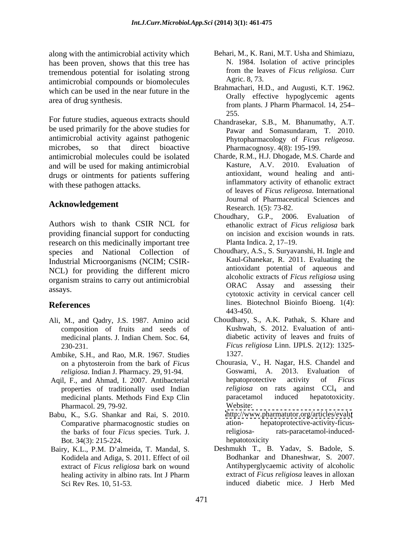along with the antimicrobial activity which has been proven, shows that this tree has tremendous potential for isolating strong from the lea<br>
ontimicrobial compounds or biomologyles Agric. 8, 73. antimicrobial compounds or biomolecules which can be used in the near future in the

For future studies, aqueous extracts should<br>
Chandrasekar, S.B., M. Bhanumathy, A.T. be used primarily for the above studies for antimicrobial activity against pathogenic microbes, so that direct bioactive Pharmacognosy. 4(8): 195-199. antimicrobial molecules could be isolated Charde, R.M., H.J. Dhogade, M.S. Charde and and will be used for making antimicrobial drugs or ointments for patients suffering with these pathogen attacks.

# **Acknowledgement**

Authors wish to thank CSIR NCL for providing financial support for conducting research on this medicinally important tree Planta Indica. 2, 17–19. species and National Collection of Industrial Microorganisms (NCIM; CSIR- NCL) for providing the different micro organism strains to carry out antimicrobial

- Ali, M., and Qadry, J.S. 1987. Amino acid Choudhary, S., A.K. Pathak, S. Khare and composition of fruits and seeds of medicinal plants. J. Indian Chem. Soc. 64,
- Ambike, S.H., and Rao, M.R. 1967. Studies 1327.
- Aqil, F., and Ahmad, I. 2007. Antibacterial hepatoprotective activity of Ficus medicinal plants. Methods Find Exp Clin Pharmacol. 29, 79-92. Website:
- Babu, K., S.G. Shankar and Rai, S. 2010. http://www.pharmatutor.org/articles/evalu<br>Comparative pharmacognostic studies on the ation-<br>discretive-activity-ficusthe barks of four *Ficus* species. Turk. J. religiosa-<br>Bot. 34(3): 215-224. hepatotoxicity Bot. 34(3): 215-224.
- Bairy, K.L., P.M. D'almeida, T. Mandal, S. Kodidela and Adiga, S. 2011. Effect of oil extract of *Ficus religiosa* bark on wound
- Behari, M., K. Rani, M.T. Usha and Shimiazu, N. 1984. Isolation of active principles from the leaves of *Ficus religiosa.* Curr Agric. 8, 73.
- area of drug synthesis.<br>
From plants. J Pharm Pharmacol. 14, 254– Brahmachari, H.D., and Augusti, K.T. 1962. Orally effective hypoglycemic agents from plants. J Pharm Pharmacol. 14, 254 255.
	- Pawar and Somasundaram, T. 2010. Phytopharmacology of *Ficus religeosa*. Pharmacognosy. 4(8): 195-199.
	- Kasture, A.V. 2010. Evaluation of antioxidant, wound healing and antiinflammatory activity of ethanolic extract of leaves of *Ficus religeosa*. International Journal of Pharmaceutical Sciences and Research. 1(5): 73-82.
	- Choudhary, G.P., 2006. Evaluation of ethanolic extract of *Ficus religiosa* bark on incision and excision wounds in rats. Planta Indica. 2, 17–19.
- assays.<br>
cytotoxic activity in cervical cancer cell **References** lines. Biotechnol Bioinfo Bioeng. 1(4): Choudhary, A.S., S. Suryavanshi, H. Ingle and Kaul-Ghanekar, R. 2011. Evaluating the antioxidant potential of aqueous and alcoholic extracts of *Ficus religiosa* using ORAC Assay and assessing their 443-450.
	- 230-231. *Ficus religiosa* Linn. IJPLS. 2(12): 1325- Kushwah, S. 2012. Evaluation of anti diabetic activity of leaves and fruits of 1327.
	- on a phytosteroin from the bark of *Ficus religiosa*. Indian J. Pharmacy. 29, 91-94. **Coswami, A. 2013.** Evaluat Goswami, A. 2013. Evaluat Contains and Ahmad. I. 2007. Antibacterial cheratoprotective activity of properties of traditionally used Indian *religiosa* on rats against CCl<sub>4</sub> and medicinal plants. Methods Find Exp Clin paracetamol induced hepatotoxicity. Chourasia, V., H. Nagar, H.S. Chandel and Goswami, A. 2013. Evaluation of hepatoprotective activity of *Ficus religiosa* on rats against CCl<sub>4</sub> and paracetamol induced hepatotoxicity. Website: <http://www.pharmatutor.org/articles/evalu>
		- ation- hepatoprotective-activity-ficusrats-paracetamol-inducedhepatotoxicity and the set of the set of the set of the set of the set of the set of the set of the set of the set of the set of the set of the set of the set of the set of the set of the set of the set of the set of the s
	- healing activity in albino rats. Int J Pharm extract of *Ficus religiosa* leaves in alloxan Sci Rev Res. 10, 51-53. induced diabetic mice. J Herb MedDeshmukh T., B. Yadav, S. Badole, S. Bodhankar and Dhaneshwar, S. 2007. Antihyperglycaemic activity of alcoholic extract of *Ficus religiosa* leaves in alloxan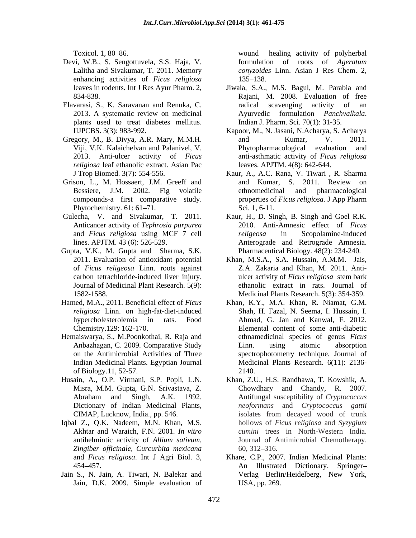- Devi, W.B., S. Sengottuvela, S.S. Haja, V. enhancing activities of *Ficus religiosa*
- plants used to treat diabetes mellitus. Indian J. Pharm. Sci. 70(1): 31-35.
- *religiosa* leaf ethanolic extract. Asian Pac
- 
- Anticancer activity of *Tephrosia purpurea*
- Gupta, V.K., M. Gupta and Sharma, S.K. Journal of Medicinal Plant Research. 5(9):
- 
- Hemaiswarya, S., M.Poonkothai, R. Raja and of Biology.11, 52-57.
- 
- Iqbal Z., Q.K. Nadeem, M.N. Khan, M.S. *Zingiber of icinale, Curcurbita mexicana*
- Jain S., N. Jain, A. Tiwari, N. Balekar and Jain, D.K. 2009. Simple evaluation of

Toxicol. 1, 80 86. wound healing activity of polyherbal Lalitha and Sivakumar, T. 2011. Memory *conyzoides* Linn. Asian J Res Chem. 2, formulation of roots of *Ageratum*  135–138.

- leaves in rodents. Int J Res Ayur Pharm. 2, Jiwala, S.A., M.S. Bagul, M. Parabia and 834-838. Rajani, M. 2008. Evaluation of free Elavarasi, S., K. Saravanan and Renuka, C. 2013. A systematic review on medicinal and Ayurvedic formulation *Panchvalkala*. radical scavenging activity of an Ayurvedic formulation *Panchvalkala*. Indian J. Pharm. Sci. 70(1): 31-35.
- IIJPCBS. 3(3): 983-992. Kapoor, M., N. Jasani, N.Acharya, S. Acharya Gregory, M., B. Divya, A.R. Mary, M.M.H. and Kumar, V. 2011. Viji, V.K. Kalaichelvan and Palanivel, V. 2013. Anti-ulcer activity of *Ficus*  anti-asthmatic activity of *Ficus religiosa* and Kumar, V. 2011. Phytopharmacological evaluation and leaves. APJTM. 4(8): 642-644.
- J Trop Biomed. 3(7): 554-556. Kaur, A., A.C. Rana, V. Tiwari , R. Sharma Grison, L., M. Hossaert, J.M. Greeff and and Kumar, S. 2011. Review on Bessiere, J.M. 2002. Fig volatile ethnomedicinal and pharmacological compounds-a first comparative study. properties of *Ficus religiosa.* J App Pharm Phytochemistry. 61: 61–71. Sci. 1, 6-11. and Kumar, S. 2011. Review on ethnomedicinal and pharmacological Sci. 1, 6-11.
- Gulecha, V. and Sivakumar, T. 2011. Kaur, H., D. Singh, B. Singh and Goel R.K. and *Ficus religiosa* using MCF 7 cell lines. APJTM. 43 (6): 526-529. Anterograde and Retrograde Amnesia. 2010. Anti-Amnesic effect of *Ficus religeosa* in Scopolamine-induced Pharmaceutical Biology. 48(2): 234-240.
	- 2011. Evaluation of antioxidant potential Khan, M.S.A., S.A. Hussain, A.M.M. Jais, of *Ficus religeosa* Linn. roots against Z.A. Zakaria and Khan, M. 2011. Anti carbon tetrachloride-induced liver injury. ulcer activity of *Ficus religiosa* stem bark 1582-1588. Medicinal Plants Research. 5(3): 354-359. ethanolic extract in rats. Journal of
- Hamed, M.A., 2011. Beneficial effect of *Ficus*  Khan, K.Y., M.A. Khan, R. Niamat, G.M. *religiosa* Linn. on high-fat-diet-induced Shah, H. Fazal, N. Seema, I. Hussain, I. hypercholesterolemia in rats. Food Ahmad, G. Jan and Kanwal, F. 2012. Chemistry.129: 162-170. Elemental content of some anti-diabetic Anbazhagan, C. 2009. Comparative Study on the Antimicrobial Activities of Three spectrophotometry technique. Journal of Indian Medicinal Plants. Egyptian Journal Medicinal Plants Research. 6(11): 2136 ethnamedicinal species of genus *Ficus*  Linn. using atomic absorption 2140.
- Husain, A., O.P. Virmani, S.P. Popli, L.N. Khan, Z.U., H.S. Randhawa, T. Kowshik, A. Misra, M.M. Gupta, G.N. Srivastava, Z. Chowdhary and Chandy, R. 2007. Abraham and Singh, A.K. 1992. Antifungal susceptibility of Cryptococcus Dictionary of Indian Medicinal Plants, *neoformans* and *Cryptococcus gattii* CIMAP, Lucknow, India., pp. 546. isolates from decayed wood of trunk Akhtar and Waraich, F.N. 2001. *In vitro cumini* trees in North-Western India. antihelmintic activity of *Allium sativum,* Journal of Antimicrobial Chemotherapy. Antifungal susceptibility of *Cryptococcus*  hollows of *Ficus religiosa* and *Syzygium*  60, 312 316.
	- and *Ficus religiosa*. Int J Agri Biol. 3, Khare, C.P., 2007. Indian Medicinal Plants: 454 457. An Illustrated Dictionary. Springer Verlag Berlin/Heidelberg, New York, USA, pp. 269.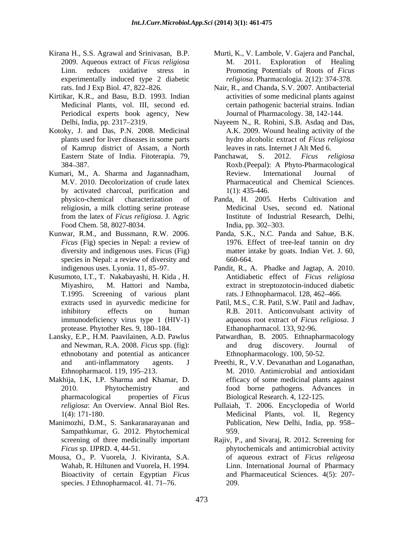- 2009. Aqueous extract of *Ficus religiosa* experimentally induced type 2 diabetic
- Kirtikar, K.R., and Basu, B.D. 1993. Indian Periodical experts book agency, New
- Kotoky, J. and Das, P.N. 2008. Medicinal of Kamrup district of Assam, a North
- Kumari, M., A. Sharma and Jagannadham, M.V. 2010. Decolorization of crude latex by activated charcoal, purification and  $1(1)$ : 435-446. Food Chem. 58, 8027-8034. India, pp. 302–303.
- Kunwar, R.M., and Bussmann, R.W. 2006. Panda, S.K., N.C. Panda and Sahue, B.K. *Ficus* (Fig) species in Nepal: a review of species in Nepal: a review of diversity and  $660-664$ .
- Kusumoto, I.T., T. Nakabayashi, H. Kida , H. T.1995. Screening of various plant immunodeficiency virus type 1 (HIV-1) protease. Phytother Res. 9, 180-184.
- Lansky, E.P., H.M. Paavilainen, A.D. Pawlus ethnobotany and potential as anticancer
- Makhija, I.K, I.P. Sharma and Khamar, D.
- Manimozhi, D.M., S. Sankaranarayanan and Sampathkumar, G. 2012. Phytochemical
- Mousa, O., P. Vuorela, J. Kiviranta, S.A. Bioactivity of certain Egyptian *Ficus* species. J Ethnopharmacol. 41. 71-76.
- Kirana H., S.S. Agrawal and Srinivasan, B.P. Murti, K., V. Lambole, V. Gajera and Panchal, Linn. reduces oxidative stress in Promoting Potentials of Roots of *Ficus*  2011. Exploration of Healing *religiosa*. Pharmacologia. 2(12): 374-378.
	- rats. Ind J Exp Biol. 47, 822–826. Nair, R., and Chanda, S.V. 2007. Antibacterial Medicinal Plants, vol. III, second ed. certain pathogenic bacterial strains. Indian activities of some medicinal plants against Journal of Pharmacology. 38, 142-144.
	- Delhi, India, pp. 2317 2319. Nayeem N., R. Rohini, S.B. Asdaq and Das, plants used for liver diseases in some parts hydro alcoholic extract of *Ficus religiosa* A.K. 2009. Wound healing activity of the leaves in rats. Internet J Alt Med 6.
	- Eastern State of India. Fitoterapia. 79, Panchawat, S. 2012. Ficus religiosa 384 387. Roxb.(Peepal): A Phyto-Pharmacological Panchawat, S. 2012. *Ficus religiosa* Review. International Journal of Pharmaceutical and Chemical Sciences. 1(1): 435-446.
	- physico-chemical characterization of Panda, H. 2005. Herbs Cultivation and religiosin, a milk clotting serine protease Medicinal Uses, second ed. National from the latex of *Ficus religiosa.* J. Agric Institute of Industrial Research, Delhi, India, pp. 302–303.
	- diversity and indigenous uses. Ficus (Fig) matter intake by goats. Indian Vet. J. 60, 1976. Effect of tree-leaf tannin on dry 660-664.
	- indigenous uses. Lyonia. 11, 85 97. Pandit, R., A. Phadke and Jagtap, A. 2010. Miyashiro, M. Hattori and Namba, extract in streptozotocin-induced diabetic Antidiabetic effect of *Ficus religiosa* rats. J Ethnopharmacol. 128, 462-466.
	- extracts used in ayurvedic medicine for Patil, M.S., C.R. Patil, S.W. Patil and Jadhav, inhibitory effects on human R.B. 2011. Anticonvulsant activity of aqueous root extract of *Ficus religiosa*. J Ethanopharmacol. 133, 92-96.
	- and Newman, R.A. 2008. *Ficus* spp. (fig): and drug discovery. Journal of Patwardhan, B. 2005. Ethnapharmacology and drug discovery. Journal of Ethnopharmacology. 100, 50-52.
	- and anti-inflammatory agents. J Preethi, R., V.V. Devanathan and Loganathan, Ethnopharmacol. 119, 195–213. M. 2010. Antimicrobial and antioxidant 2010. Phytochemistry and food borne pathogens. Advances in pharmacological properties of *Ficus*  Biological Research. 4, 122-125. efficacy of some medicinal plants against
	- *religiosa*: An Overview. Annal Biol Res. Pullaiah, T. 2006. Encyclopedia of World 1(4): 171-180. Medicinal Plants, vol. II, Regency Publication, New Delhi, India, pp. 958 959.
	- screening of three medicinally important Rajiv, P., and Sivaraj, R. 2012. Screening for *Ficus* sp. IJPRD. 4, 44-51. phytochemicals and antimicrobial activity Wahab, R. Hiltunen and Vuorela, H. 1994. Linn. International Journal of Pharmacy of aqueous extract of *Ficus religeosa* and Pharmaceutical Sciences. 4(5): 207- 209.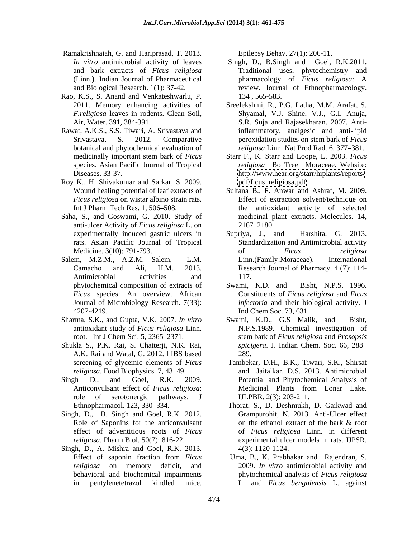- Ramakrishnaiah, G. and Hariprasad, T. 2013.
- Rao, K.S., S. Anand and Venkateshwarlu, P.
- Rawat, A.K.S., S.S. Tiwari, A. Srivastava and botanical and phytochemical evaluation of
- Roy K., H. Shivakumar and Sarkar, S. 2009.
- Saha, S., and Goswami, G. 2010. Study of anti-ulcer Activity of *Ficus religiosa* L. on
- Salem, M.Z.M., A.Z.M. Salem, L.M. Linn. (Family: Moraceae). International Antimicrobial activities and 117. *Ficus* species: An overview. African
- Sharma, S.K., and Gupta, V.K. 2007. *In vitro* antioxidant study of *Ficus religiosa* Linn.
- Shukla S., P.K. Rai, S. Chatterji, N.K. Rai, A.K. Rai and Watal, G. 2012. LIBS based
- Singh D., and Goel, R.K. 2009. Potential and Phytochemical Analysis of
- 
- Singh, D., A. Mishra and Goel, R.K. 2013.

Epilepsy Behav. 27(1): 206-11.

- *In vitro* antimicrobial activity of leaves Singh, D., B.Singh and Goel, R.K.2011. and bark extracts of *Ficus religiosa* Traditional uses, phytochemistry and (Linn.). Indian Journal of Pharmaceutical pharmacology of *Ficus religiosa*: A and Biological Research. 1(1): 37-42. review. Journal of Ethnopharmacology. 134 , 565-583.
- 2011. Memory enhancing activities of Sreelekshmi, R., P.G. Latha, M.M. Arafat, S. *F.religiosa* leaves in rodents. Clean Soil, Shyamal, V.J. Shine, V.J., G.I. Anuja, Air, Water. 391, 384-391. S.R. Suja and Rajasekharan. 2007. Anti-Srivastava, S. 2012. Comparative peroxidation studies on stem bark of *Ficus* inflammatory, analgesic and anti-lipid peroxidation studies on stem bark of *Ficus religiosa* Linn. Nat Prod Rad. 6, 377–381.
- medicinally important stem bark of *Ficus* Starr F., K. Starr and Loope, L. 2003. *Ficus* species. Asian Pacific Journal of Tropical *religiosa* Bo Tree Moraceae. Website: Diseases. 33-37. <http://www.hear.org/starr/hiplants/reports/> [pdf/ficus\\_religiosa.pdf](pdf/ficus_religiosa.pdf)
- Wound healing potential of leaf extracts of Sultana B., F. Anwar and Ashraf, M. 2009. *Ficus religiosa* on wistar albino strain rats. Effect of extraction solvent/technique on Int J Pharm Tech Res. 1, 506–508. The antioxidant activity of selected medicinal plant extracts. Molecules. 14, 2167 2180.
- experimentally induced gastric ulcers in Supriya, J., and Harshita, G. 2013. rats. Asian Pacific Journal of Tropical Standardization and Antimicrobial activity Medicine. 3(10): 791-793. The of the state of the state of the state of the state of the state of the state of the state of the state of the state of the state of the state of the state of the state of the state of the sta Camacho and Ali, H.M. 2013. Research Journal of Pharmacy. 4 (7): 114- Supriya, J., and Harshita, G. 2013. of *Ficus religiosa* Linn.(Family:Moraceae). 117.
- phytochemical composition of extracts of Swami, K.D. and Bisht, N.P.S. 1996. Journal of Microbiology Research. 7(33): *infectoria* and their biological activity. J 4207-4219. Ind Chem Soc. 73, 631. Swami, K.D. and Bisht, N.P.S. 1996. Constituents of *Ficus religiosa* and *Ficus*
- root. Int J Chem Sci. 5, 2365 2371. stem bark of *Ficus religiosa* and *Prosopsis*  Swami, K.D., G.S Malik, and N.P.S.1989. Chemical investigation of *spicigera*. J. Indian Chem. Soc. 66, 288 289.
- screening of glycemic elements of *Ficus*  Tambekar, D.H., B.K., Tiwari, S.K., Shirsat *religiosa*. Food Biophysics. 7, 43 49. and Jaitalkar, D.S. 2013. Antimicrobial Anticonvulsant effect of *Ficus religiosa*: role of serotonergic pathways. J IJLPBR. 2(3): 203-211. Medicinal Plants from Lonar Lake. IJLPBR. 2(3): 203-211.
- Ethnopharmacol. 123, 330–334. Thorat, S., D. Deshmukh, D. Gaikwad and Singh, D., B. Singh and Goel, R.K. 2012. Grampurohit, N. 2013. Anti-Ulcer effect Role of Saponins for the anticonvulsant on the ethanol extract of the bark & root effect of adventitious roots of *Ficus*  of *Ficus religiosa* Linn. in different *religiosa*. Pharm Biol. 50(7): 816-22. experimental ulcer models in rats. IJPSR. Grampurohit, N. 2013. Anti-Ulcer effect on the ethanol extract of the bark & root 4(3): 1120-1124.
	- Effect of saponin fraction from *Ficus religiosa* on memory deficit, and 2009. *In vitro* antimicrobial activity and behavioral and biochemical impairments phytochemical analysis of *Ficus religiosa* in pentylenetetrazol kindled mice. L. and *Ficus bengalensis* L. againstUma, B., K. Prabhakar and Rajendran, S.